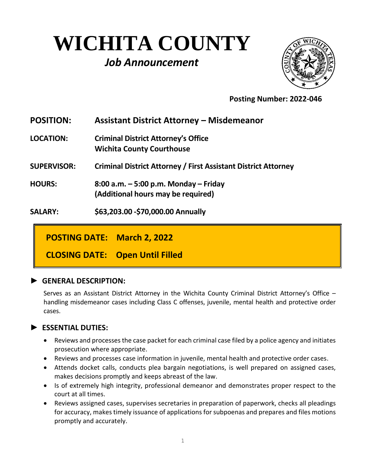# **WICHITA COUNTY** *Job Announcement*



 **Posting Number: 2022-046**

| <b>POSITION:</b>   | <b>Assistant District Attorney - Misdemeanor</b>                               |
|--------------------|--------------------------------------------------------------------------------|
| <b>LOCATION:</b>   | <b>Criminal District Attorney's Office</b><br><b>Wichita County Courthouse</b> |
| <b>SUPERVISOR:</b> | <b>Criminal District Attorney / First Assistant District Attorney</b>          |
| <b>HOURS:</b>      | 8:00 a.m. $-5:00$ p.m. Monday $-$ Friday<br>(Additional hours may be required) |
| <b>SALARY:</b>     | \$63,203.00 - \$70,000.00 Annually                                             |

**POSTING DATE: March 2, 2022**

**CLOSING DATE: Open Until Filled**

#### **► GENERAL DESCRIPTION:**

Serves as an Assistant District Attorney in the Wichita County Criminal District Attorney's Office – handling misdemeanor cases including Class C offenses, juvenile, mental health and protective order cases.

# **► ESSENTIAL DUTIES:**

- Reviews and processes the case packet for each criminal case filed by a police agency and initiates prosecution where appropriate.
- Reviews and processes case information in juvenile, mental health and protective order cases.
- Attends docket calls, conducts plea bargain negotiations, is well prepared on assigned cases, makes decisions promptly and keeps abreast of the law.
- Is of extremely high integrity, professional demeanor and demonstrates proper respect to the court at all times.
- Reviews assigned cases, supervises secretaries in preparation of paperwork, checks all pleadings for accuracy, makes timely issuance of applications for subpoenas and prepares and files motions promptly and accurately.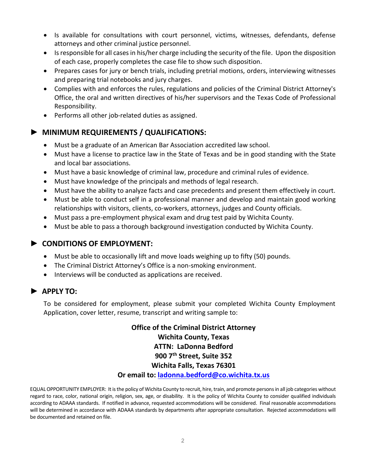- Is available for consultations with court personnel, victims, witnesses, defendants, defense attorneys and other criminal justice personnel.
- Is responsible for all cases in his/her charge including the security of the file. Upon the disposition of each case, properly completes the case file to show such disposition.
- Prepares cases for jury or bench trials, including pretrial motions, orders, interviewing witnesses and preparing trial notebooks and jury charges.
- Complies with and enforces the rules, regulations and policies of the Criminal District Attorney's Office, the oral and written directives of his/her supervisors and the Texas Code of Professional Responsibility.
- Performs all other job-related duties as assigned.

# **► MINIMUM REQUIREMENTS / QUALIFICATIONS:**

- Must be a graduate of an American Bar Association accredited law school.
- Must have a license to practice law in the State of Texas and be in good standing with the State and local bar associations.
- Must have a basic knowledge of criminal law, procedure and criminal rules of evidence.
- Must have knowledge of the principals and methods of legal research.
- Must have the ability to analyze facts and case precedents and present them effectively in court.
- Must be able to conduct self in a professional manner and develop and maintain good working relationships with visitors, clients, co-workers, attorneys, judges and County officials.
- Must pass a pre-employment physical exam and drug test paid by Wichita County.
- Must be able to pass a thorough background investigation conducted by Wichita County.

#### **► CONDITIONS OF EMPLOYMENT:**

- Must be able to occasionally lift and move loads weighing up to fifty (50) pounds.
- The Criminal District Attorney's Office is a non-smoking environment.
- Interviews will be conducted as applications are received.

# **► APPLY TO:**

To be considered for employment, please submit your completed Wichita County Employment Application, cover letter, resume, transcript and writing sample to:

> **Office of the Criminal District Attorney Wichita County, Texas ATTN: LaDonna Bedford 900 7th Street, Suite 352 Wichita Falls, Texas 76301 Or email to: [ladonna.bedford@co.wichita.tx.us](mailto:ladonna.bedford@co.wichita.tx.us)**

EQUAL OPPORTUNITY EMPLOYER: It is the policy of Wichita County to recruit, hire, train, and promote persons in all job categories without regard to race, color, national origin, religion, sex, age, or disability. It is the policy of Wichita County to consider qualified individuals according to ADAAA standards. If notified in advance, requested accommodations will be considered. Final reasonable accommodations will be determined in accordance with ADAAA standards by departments after appropriate consultation. Rejected accommodations will be documented and retained on file.